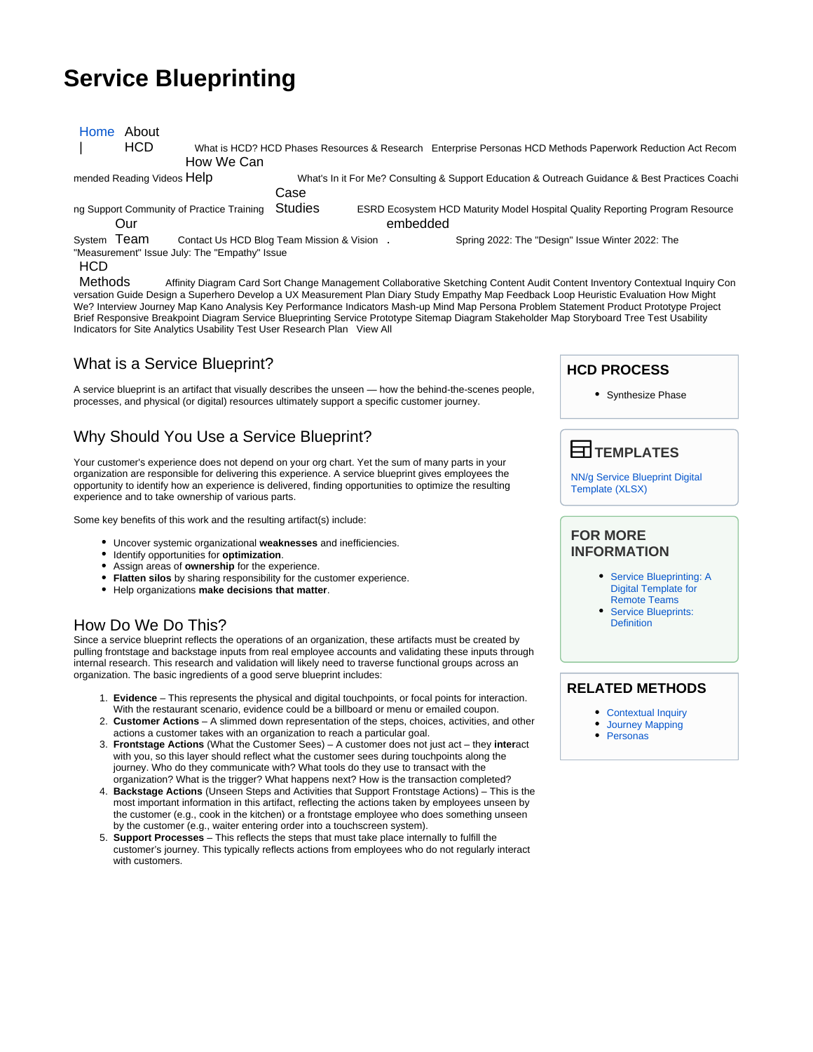# **Service Blueprinting**

| Home About                                |            |                                               |                                                                                                 |  |                                                                                                                             |  |
|-------------------------------------------|------------|-----------------------------------------------|-------------------------------------------------------------------------------------------------|--|-----------------------------------------------------------------------------------------------------------------------------|--|
|                                           | <b>HCD</b> |                                               |                                                                                                 |  | What is HCD? HCD Phases Resources & Research Enterprise Personas HCD Methods Paperwork Reduction Act Recom                  |  |
|                                           |            | How We Can                                    |                                                                                                 |  |                                                                                                                             |  |
| mended Reading Videos Help                |            |                                               | What's In it For Me? Consulting & Support Education & Outreach Guidance & Best Practices Coachi |  |                                                                                                                             |  |
|                                           |            |                                               | Case                                                                                            |  |                                                                                                                             |  |
| ng Support Community of Practice Training |            |                                               | <b>Studies</b>                                                                                  |  | <b>ESRD Ecosystem HCD Maturity Model Hospital Quality Reporting Program Resource</b>                                        |  |
| Our                                       |            |                                               |                                                                                                 |  | embedded                                                                                                                    |  |
| System Team                               |            | Contact Us HCD Blog Team Mission & Vision.    |                                                                                                 |  | Spring 2022: The "Design" Issue Winter 2022: The                                                                            |  |
|                                           |            | "Measurement" Issue July: The "Empathy" Issue |                                                                                                 |  |                                                                                                                             |  |
| <b>HCD</b>                                |            |                                               |                                                                                                 |  |                                                                                                                             |  |
| <b>Methods</b>                            |            |                                               |                                                                                                 |  | Affinity Diagram Card Sort Change Management Collaborative Sketching Content Audit Content Inventory Contextual Inquiry Con |  |

versation Guide Design a Superhero Develop a UX Measurement Plan Diary Study Empathy Map Feedback Loop Heuristic Evaluation How Might We? Interview Journey Map Kano Analysis Key Performance Indicators Mash-up Mind Map Persona Problem Statement Product Prototype Project Brief Responsive Breakpoint Diagram Service Blueprinting Service Prototype Sitemap Diagram Stakeholder Map Storyboard Tree Test Usability Indicators for Site Analytics Usability Test User Research Plan View All

## What is a Service Blueprint?

A service blueprint is an artifact that visually describes the unseen — how the behind-the-scenes people, processes, and physical (or digital) resources ultimately support a specific customer journey.

## Why Should You Use a Service Blueprint?

Your customer's experience does not depend on your org chart. Yet the sum of many parts in your organization are responsible for delivering this experience. A service blueprint gives employees the opportunity to identify how an experience is delivered, finding opportunities to optimize the resulting experience and to take ownership of various parts.

Some key benefits of this work and the resulting artifact(s) include:

- Uncover systemic organizational **weaknesses** and inefficiencies.
- Identify opportunities for **optimization**.
- Assign areas of **ownership** for the experience.
- **Flatten silos** by sharing responsibility for the customer experience.
- Help organizations **make decisions that matter**.

### How Do We Do This?

Since a service blueprint reflects the operations of an organization, these artifacts must be created by pulling frontstage and backstage inputs from real employee accounts and validating these inputs through internal research. This research and validation will likely need to traverse functional groups across an organization. The basic ingredients of a good serve blueprint includes:

- 1. **Evidence** This represents the physical and digital touchpoints, or focal points for interaction. With the restaurant scenario, evidence could be a billboard or menu or emailed coupon.
- 2. **Customer Actions** A slimmed down representation of the steps, choices, activities, and other actions a customer takes with an organization to reach a particular goal.
- 3. **Frontstage Actions** (What the Customer Sees) A customer does not just act they **inter**act with you, so this layer should reflect what the customer sees during touchpoints along the journey. Who do they communicate with? What tools do they use to transact with the organization? What is the trigger? What happens next? How is the transaction completed?
- 4. **Backstage Actions** (Unseen Steps and Activities that Support Frontstage Actions) This is the most important information in this artifact, reflecting the actions taken by employees unseen by the customer (e.g., cook in the kitchen) or a frontstage employee who does something unseen by the customer (e.g., waiter entering order into a touchscreen system).
- 5. **Support Processes** This reflects the steps that must take place internally to fulfill the customer's journey. This typically reflects actions from employees who do not regularly interact with customers.

## **HCD PROCESS** • Synthesize Phase **RELATED METHODS** • [Contextual Inquiry](https://qnetconfluence.cms.gov/display/HCD/Contextual+Inquiry)  **TEMPLATES** [NN/g Service Blueprint Digital](https://media.nngroup.com/media/articles/attachments/NNg_Service_Blueprint_Template.xlsx)  [Template \(XLSX\)](https://media.nngroup.com/media/articles/attachments/NNg_Service_Blueprint_Template.xlsx) **FOR MORE INFORMATION** • Service Blueprinting: A [Digital Template for](https://www.nngroup.com/articles/service-blueprinting-template/)  [Remote Teams](https://www.nngroup.com/articles/service-blueprinting-template/) [Service Blueprints:](https://www.nngroup.com/articles/service-blueprints-definition/)  **[Definition](https://www.nngroup.com/articles/service-blueprints-definition/)**

- [Journey Mapping](https://qnetconfluence.cms.gov/display/HCD/Journey+Mapping)
- [Personas](https://qnetconfluence.cms.gov/display/HCD/Personas)